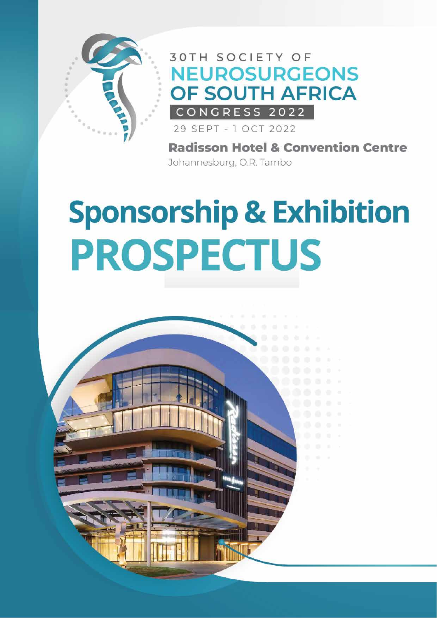

### **30TH SOCIETY OF NEUROSURGEONS** OF SOUTH AFRICA CONGRESS 2022

29 SEPT - 1 OCT 2022

**Radisson Hotel & Convention Centre** Johannesburg, O.R. Tambo

# **Sponsorship & Exhibition PROSPECTUS**

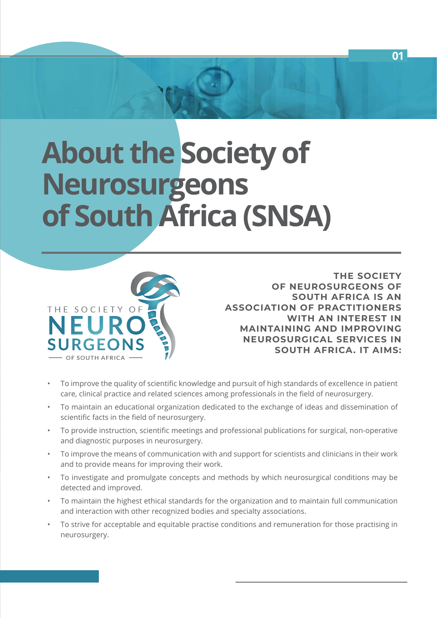# **About the Society of Neurosurgeons of South Africa (SNSA)**



**THE SOCIETY OF NEUROSURGEONS OF SOUTH AFRICA IS AN ASSOCIATION OF PRACTITIONERS WITH AN INTEREST IN MAINTAINING AND IMPROVING NEUROSURGICAL SERVICES IN SOUTH AFRICA. IT AIMS:**

- To improve the quality of scientific knowledge and pursuit of high standards of excellence in patient care, clinical practice and related sciences among professionals in the field of neurosurgery.
- To maintain an educational organization dedicated to the exchange of ideas and dissemination of scientific facts in the field of neurosurgery.
- To provide instruction, scientific meetings and professional publications for surgical, non-operative and diagnostic purposes in neurosurgery.
- To improve the means of communication with and support for scientists and clinicians in their work and to provide means for improving their work.
- To investigate and promulgate concepts and methods by which neurosurgical conditions may be detected and improved.
- To maintain the highest ethical standards for the organization and to maintain full communication and interaction with other recognized bodies and specialty associations.
- To strive for acceptable and equitable practise conditions and remuneration for those practising in neurosurgery.

**01**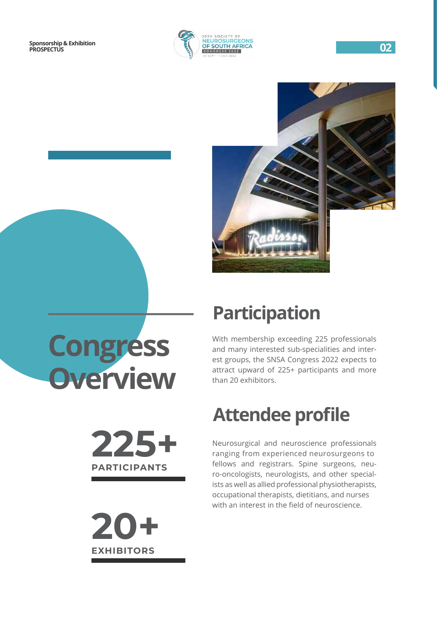



**Congress Overview**

## **Participation**

With membership exceeding 225 professionals and many interested sub-specialities and interest groups, the SNSA Congress 2022 expects to attract upward of 225+ participants and more than 20 exhibitors.

## **Attendee profile**

Neurosurgical and neuroscience professionals ranging from experienced neurosurgeons to fellows and registrars. Spine surgeons, neuro-oncologists, neurologists, and other specialists as well as allied professional physiotherapists, occupational therapists, dietitians, and nurses with an interest in the field of neuroscience.

**225+**

**PARTICIPANTS**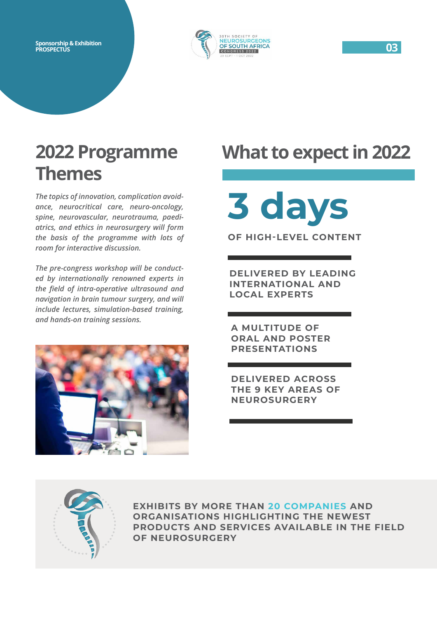

### **2022 Programme Themes**

*The topics of innovation, complication avoidance, neurocritical care, neuro-oncology, spine, neurovascular, neurotrauma, paediatrics, and ethics in neurosurgery will form the basis of the programme with lots of room for interactive discussion.*

*The pre-congress workshop will be conducted by internationally renowned experts in the field of intra-operative ultrasound and navigation in brain tumour surgery, and will include lectures, simulation-based training, and hands-on training sessions.*



## **What to expect in 2022**

# **3 days OF HIGH-LEVEL CONTENT**

**DELIVERED BY LEADING INTERNATIONAL AND LOCAL EXPERTS**

**A MULTITUDE OF ORAL AND POSTER PRESENTATIONS**

**DELIVERED ACROSS THE 9 KEY AREAS OF NEUROSURGERY**



**EXHIBITS BY MORE THAN 20 COMPANIES AND ORGANISATIONS HIGHLIGHTING THE NEWEST PRODUCTS AND SERVICES AVAILABLE IN THE FIELD OF NEUROSURGERY**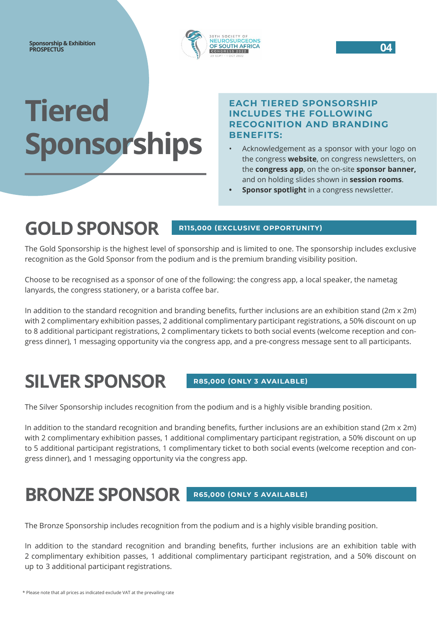

# **Tiered Sponsorships**

#### **EACH TIERED SPONSORSHIP INCLUDES THE FOLLOWING RECOGNITION AND BRANDING BENEFITS:**

- Acknowledgement as a sponsor with your logo on the congress **website**, on congress newsletters, on the **congress app**, on the on-site **sponsor banner,** and on holding slides shown in **session rooms**.
- **Sponsor spotlight** in a congress newsletter.

### **GOLD SPONSOR**

#### **R115,000 (EXCLUSIVE OPPORTUNITY)**

The Gold Sponsorship is the highest level of sponsorship and is limited to one. The sponsorship includes exclusive recognition as the Gold Sponsor from the podium and is the premium branding visibility position.

Choose to be recognised as a sponsor of one of the following: the congress app, a local speaker, the nametag lanyards, the congress stationery, or a barista coffee bar.

In addition to the standard recognition and branding benefits, further inclusions are an exhibition stand (2m x 2m) with 2 complimentary exhibition passes, 2 additional complimentary participant registrations, a 50% discount on up to 8 additional participant registrations, 2 complimentary tickets to both social events (welcome reception and congress dinner), 1 messaging opportunity via the congress app, and a pre-congress message sent to all participants.

## **SILVER SPONSOR**

#### **R85,000 (ONLY 3 AVAILABLE)**

The Silver Sponsorship includes recognition from the podium and is a highly visible branding position.

In addition to the standard recognition and branding benefits, further inclusions are an exhibition stand (2m x 2m) with 2 complimentary exhibition passes, 1 additional complimentary participant registration, a 50% discount on up to 5 additional participant registrations, 1 complimentary ticket to both social events (welcome reception and congress dinner), and 1 messaging opportunity via the congress app.

### **BRONZE SPONSOR R65,000 (ONLY 5 AVAILABLE)**

The Bronze Sponsorship includes recognition from the podium and is a highly visible branding position.

In addition to the standard recognition and branding benefits, further inclusions are an exhibition table with 2 complimentary exhibition passes, 1 additional complimentary participant registration, and a 50% discount on up to 3 additional participant registrations.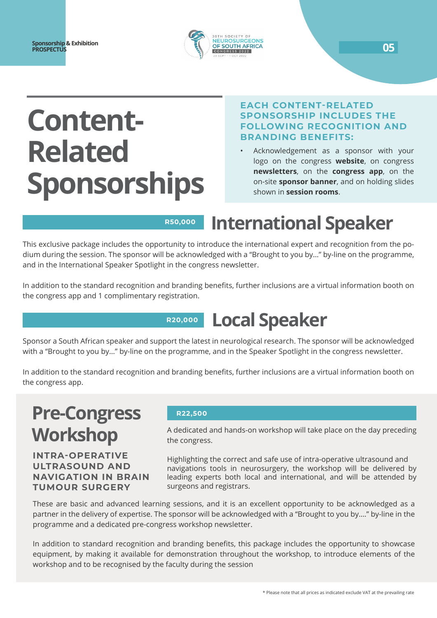

# **Content-Related Sponsorships**

#### **EACH CONTENT-RELATED SPONSORSHIP INCLUDES THE FOLLOWING RECOGNITION AND BRANDING BENEFITS:**

• Acknowledgement as a sponsor with your logo on the congress **website**, on congress **newsletters**, on the **congress app**, on the on-site **sponsor banner**, and on holding slides shown in **session rooms**.

#### **International Speaker R50,000**

This exclusive package includes the opportunity to introduce the international expert and recognition from the podium during the session. The sponsor will be acknowledged with a "Brought to you by…" by-line on the programme, and in the International Speaker Spotlight in the congress newsletter.

In addition to the standard recognition and branding benefits, further inclusions are a virtual information booth on the congress app and 1 complimentary registration.

#### **Local Speaker R20,000**

Sponsor a South African speaker and support the latest in neurological research. The sponsor will be acknowledged with a "Brought to you by…" by-line on the programme, and in the Speaker Spotlight in the congress newsletter.

In addition to the standard recognition and branding benefits, further inclusions are a virtual information booth on the congress app.

## **Pre-Congress Workshop**

#### **INTRA-OPERATIVE ULTRASOUND AND NAVIGATION IN BRAIN TUMOUR SURGERY**

#### **R22,500**

A dedicated and hands-on workshop will take place on the day preceding the congress.

Highlighting the correct and safe use of intra-operative ultrasound and navigations tools in neurosurgery, the workshop will be delivered by leading experts both local and international, and will be attended by surgeons and registrars.

These are basic and advanced learning sessions, and it is an excellent opportunity to be acknowledged as a partner in the delivery of expertise. The sponsor will be acknowledged with a "Brought to you by…." by-line in the programme and a dedicated pre-congress workshop newsletter.

In addition to standard recognition and branding benefits, this package includes the opportunity to showcase equipment, by making it available for demonstration throughout the workshop, to introduce elements of the workshop and to be recognised by the faculty during the session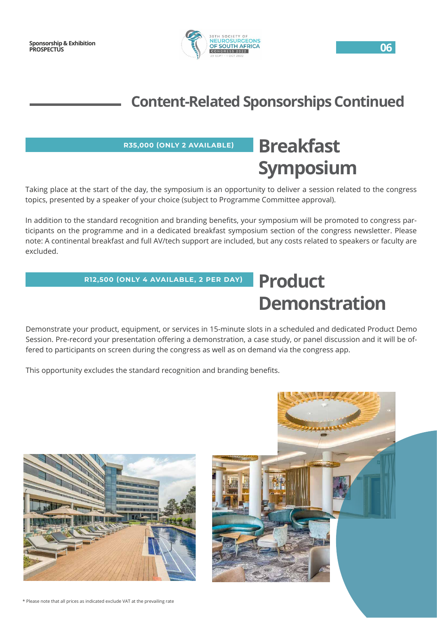

### **Content-Related Sponsorships Continued**

#### **R35,000 (ONLY 2 AVAILABLE)**

## **Breakfast Symposium**

Taking place at the start of the day, the symposium is an opportunity to deliver a session related to the congress topics, presented by a speaker of your choice (subject to Programme Committee approval).

In addition to the standard recognition and branding benefits, your symposium will be promoted to congress participants on the programme and in a dedicated breakfast symposium section of the congress newsletter. Please note: A continental breakfast and full AV/tech support are included, but any costs related to speakers or faculty are excluded.

#### **R12,500 (ONLY 4 AVAILABLE, 2 PER DAY)**

### **Product Demonstration**

Demonstrate your product, equipment, or services in 15-minute slots in a scheduled and dedicated Product Demo Session. Pre-record your presentation offering a demonstration, a case study, or panel discussion and it will be offered to participants on screen during the congress as well as on demand via the congress app.

This opportunity excludes the standard recognition and branding benefits.





\* Please note that all prices as indicated exclude VAT at the prevailing rate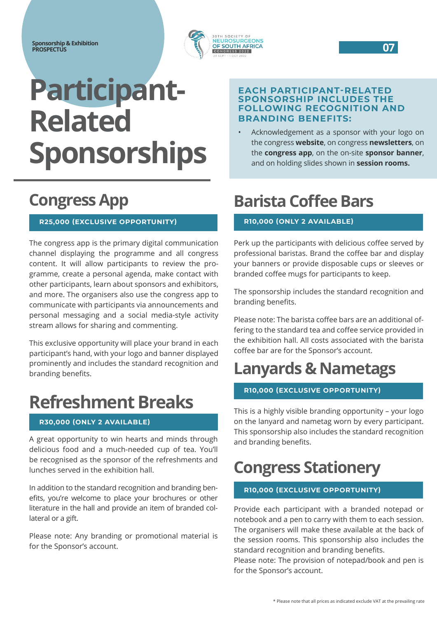

# **Participant-Related Sponsorships**

### **Congress App**

#### **R25,000 (EXCLUSIVE OPPORTUNITY)**

The congress app is the primary digital communication channel displaying the programme and all congress content. It will allow participants to review the programme, create a personal agenda, make contact with other participants, learn about sponsors and exhibitors, and more. The organisers also use the congress app to communicate with participants via announcements and personal messaging and a social media-style activity stream allows for sharing and commenting.

This exclusive opportunity will place your brand in each participant's hand, with your logo and banner displayed prominently and includes the standard recognition and branding benefits.

### **Refreshment Breaks**

#### **R30,000 (ONLY 2 AVAILABLE)**

A great opportunity to win hearts and minds through delicious food and a much-needed cup of tea. You'll be recognised as the sponsor of the refreshments and lunches served in the exhibition hall.

In addition to the standard recognition and branding benefits, you're welcome to place your brochures or other literature in the hall and provide an item of branded collateral or a gift.

Please note: Any branding or promotional material is for the Sponsor's account.

#### **EACH PARTICIPANT-RELATED SPONSORSHIP INCLUDES THE FOLLOWING RECOGNITION AND BRANDING BENEFITS:**

• Acknowledgement as a sponsor with your logo on the congress **website**, on congress **newsletters**, on the **congress app**, on the on-site **sponsor banner**, and on holding slides shown in **session rooms.**

### **Barista Coffee Bars**

#### **R10,000 (ONLY 2 AVAILABLE)**

Perk up the participants with delicious coffee served by professional baristas. Brand the coffee bar and display your banners or provide disposable cups or sleeves or branded coffee mugs for participants to keep.

The sponsorship includes the standard recognition and branding benefits.

Please note: The barista coffee bars are an additional offering to the standard tea and coffee service provided in the exhibition hall. All costs associated with the barista coffee bar are for the Sponsor's account.

### **Lanyards & Nametags**

#### **R10,000 (EXCLUSIVE OPPORTUNITY)**

This is a highly visible branding opportunity – your logo on the lanyard and nametag worn by every participant. This sponsorship also includes the standard recognition and branding benefits.

### **Congress Stationery**

#### **R10,000 (EXCLUSIVE OPPORTUNITY)**

Provide each participant with a branded notepad or notebook and a pen to carry with them to each session. The organisers will make these available at the back of the session rooms. This sponsorship also includes the standard recognition and branding benefits.

Please note: The provision of notepad/book and pen is for the Sponsor's account.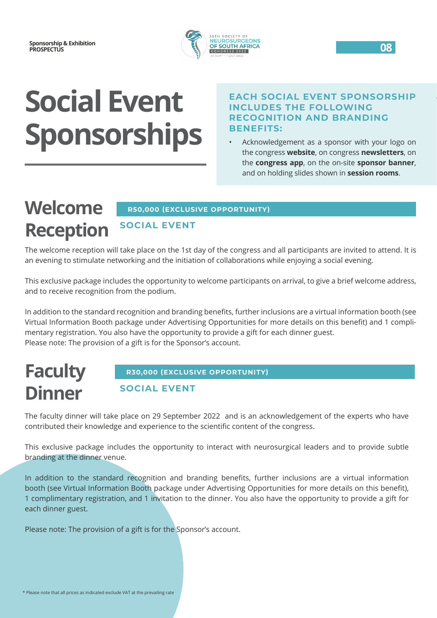

# **Social Event Sponsorships**

#### **EACH SOCIAL EVENT SPONSORSHIP INCLUDES THE FOLLOWING RECOGNITION AND BRANDING BENEFITS:**

• Acknowledgement as a sponsor with your logo on the congress **website**, on congress **newsletters**, on the **congress app**, on the on-site **sponsor banner**, and on holding slides shown in **session rooms**.

#### **Welcome Reception R50,000 (EXCLUSIVE OPPORTUNITY) SOCIAL EVENT**

The welcome reception will take place on the 1st day of the congress and all participants are invited to attend. It is an evening to stimulate networking and the initiation of collaborations while enjoying a social evening.

This exclusive package includes the opportunity to welcome participants on arrival, to give a brief welcome address, and to receive recognition from the podium.

In addition to the standard recognition and branding benefits, further inclusions are a virtual information booth (see Virtual Information Booth package under Advertising Opportunities for more details on this benefit) and 1 complimentary registration. You also have the opportunity to provide a gift for each dinner guest. Please note: The provision of a gift is for the Sponsor's account.

## **Faculty Dinner**

#### **R30,000 (EXCLUSIVE OPPORTUNITY)**

#### **SOCIAL EVENT**

The faculty dinner will take place on 29 September 2022 and is an acknowledgement of the experts who have contributed their knowledge and experience to the scientific content of the congress.

This exclusive package includes the opportunity to interact with neurosurgical leaders and to provide subtle branding at the dinner venue.

In addition to the standard recognition and branding benefits, further inclusions are a virtual information booth (see Virtual Information Booth package under Advertising Opportunities for more details on this benefit), 1 complimentary registration, and 1 invitation to the dinner. You also have the opportunity to provide a gift for each dinner guest.

Please note: The provision of a gift is for the Sponsor's account.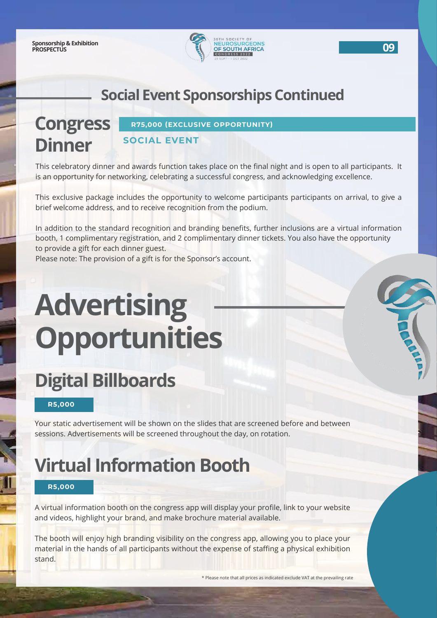

### **Social Event Sponsorships Continued**

#### **Congress Dinner R75,000 (EXCLUSIVE OPPORTUNITY) SOCIAL EVENT**

This celebratory dinner and awards function takes place on the final night and is open to all participants. It is an opportunity for networking, celebrating a successful congress, and acknowledging excellence.

This exclusive package includes the opportunity to welcome participants participants on arrival, to give a brief welcome address, and to receive recognition from the podium.

In addition to the standard recognition and branding benefits, further inclusions are a virtual information booth, 1 complimentary registration, and 2 complimentary dinner tickets. You also have the opportunity to provide a gift for each dinner guest.

Please note: The provision of a gift is for the Sponsor's account.

# **Advertising Opportunities**

## **Digital Billboards**

**R5,000**

Your static advertisement will be shown on the slides that are screened before and between sessions. Advertisements will be screened throughout the day, on rotation.

## **Virtual Information Booth**

#### **R5,000**

A virtual information booth on the congress app will display your profile, link to your website and videos, highlight your brand, and make brochure material available.

The booth will enjoy high branding visibility on the congress app, allowing you to place your material in the hands of all participants without the expense of staffing a physical exhibition stand.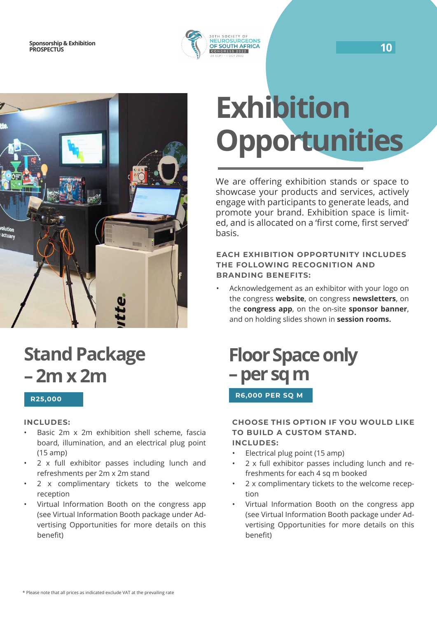



### **Stand Package – 2m x 2m**

#### **R25,000**

#### **INCLUDES:**

- Basic 2m x 2m exhibition shell scheme, fascia board, illumination, and an electrical plug point (15 amp)
- 2 x full exhibitor passes including lunch and refreshments per 2m x 2m stand
- 2 x complimentary tickets to the welcome reception
- Virtual Information Booth on the congress app (see Virtual Information Booth package under Advertising Opportunities for more details on this benefit)

# **Exhibition Opportunities**

We are offering exhibition stands or space to showcase your products and services, actively engage with participants to generate leads, and promote your brand. Exhibition space is limited, and is allocated on a 'first come, first served' basis.

#### **EACH EXHIBITION OPPORTUNITY INCLUDES THE FOLLOWING RECOGNITION AND BRANDING BENEFITS:**

• Acknowledgement as an exhibitor with your logo on the congress **website**, on congress **newsletters**, on the **congress app**, on the on-site **sponsor banner**, and on holding slides shown in **session rooms.**

### **Floor Space only – per sq m R6,000 PER SQ M**

#### **CHOOSE THIS OPTION IF YOU WOULD LIKE TO BUILD A CUSTOM STAND. INCLUDES:**

- Electrical plug point (15 amp)
- 2 x full exhibitor passes including lunch and refreshments for each 4 sq m booked
- 2 x complimentary tickets to the welcome reception
- Virtual Information Booth on the congress app (see Virtual Information Booth package under Advertising Opportunities for more details on this benefit)